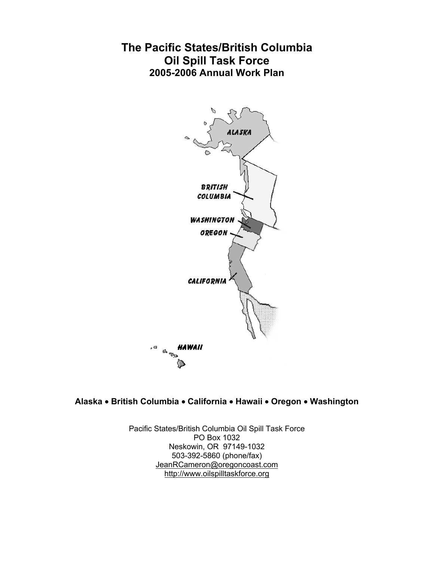# **The Pacific States/British Columbia Oil Spill Task Force 2005-2006 Annual Work Plan**



# **Alaska** • **British Columbia** • **California** • **Hawaii** • **Oregon** • **Washington**

Pacific States/British Columbia Oil Spill Task Force PO Box 1032 Neskowin, OR 97149-1032 503-392-5860 (phone/fax) JeanRCameron@oregoncoast.com http://www.oilspilltaskforce.org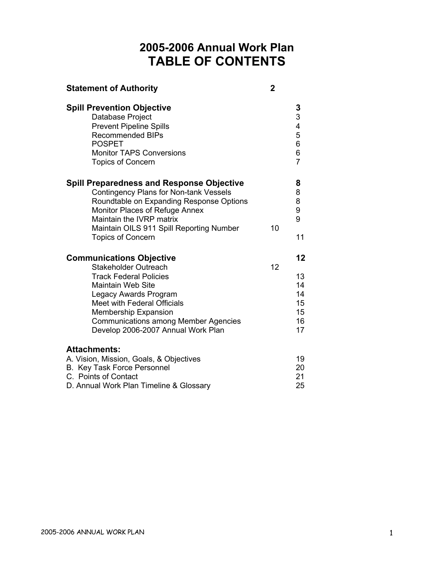# **2005-2006 Annual Work Plan TABLE OF CONTENTS**

| <b>Statement of Authority</b>                                                                                                                                                                                                                                                                    | $\overline{2}$ |                                                     |
|--------------------------------------------------------------------------------------------------------------------------------------------------------------------------------------------------------------------------------------------------------------------------------------------------|----------------|-----------------------------------------------------|
| <b>Spill Prevention Objective</b><br>Database Project<br><b>Prevent Pipeline Spills</b><br><b>Recommended BIPs</b><br><b>POSPET</b><br><b>Monitor TAPS Conversions</b><br><b>Topics of Concern</b>                                                                                               |                | $\frac{3}{3}$<br>4<br>5<br>6<br>6<br>$\overline{7}$ |
| <b>Spill Preparedness and Response Objective</b><br><b>Contingency Plans for Non-tank Vessels</b><br>Roundtable on Expanding Response Options<br>Monitor Places of Refuge Annex<br>Maintain the IVRP matrix<br>Maintain OILS 911 Spill Reporting Number<br><b>Topics of Concern</b>              | 10             | 8<br>8<br>8<br>9<br>9<br>11                         |
| <b>Communications Objective</b><br>Stakeholder Outreach<br><b>Track Federal Policies</b><br><b>Maintain Web Site</b><br>Legacy Awards Program<br>Meet with Federal Officials<br><b>Membership Expansion</b><br><b>Communications among Member Agencies</b><br>Develop 2006-2007 Annual Work Plan | 12             | 12<br>13<br>14<br>14<br>15<br>15<br>16<br>17        |
| <b>Attachments:</b><br>A. Vision, Mission, Goals, & Objectives<br>B. Key Task Force Personnel<br>C. Points of Contact<br>D. Annual Work Plan Timeline & Glossary                                                                                                                                 |                | 19<br>20<br>21<br>25                                |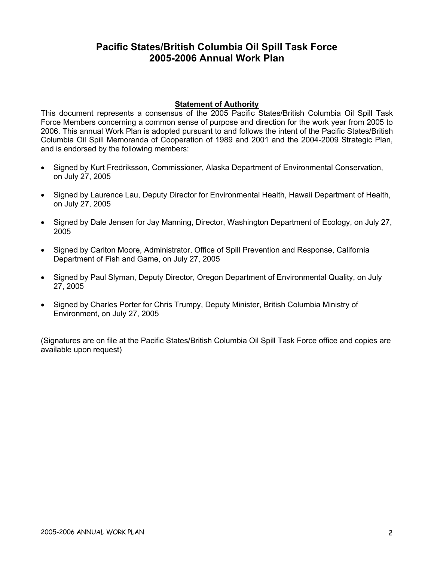# **Pacific States/British Columbia Oil Spill Task Force 2005-2006 Annual Work Plan**

## **Statement of Authority**

This document represents a consensus of the 2005 Pacific States/British Columbia Oil Spill Task Force Members concerning a common sense of purpose and direction for the work year from 2005 to 2006. This annual Work Plan is adopted pursuant to and follows the intent of the Pacific States/British Columbia Oil Spill Memoranda of Cooperation of 1989 and 2001 and the 2004-2009 Strategic Plan, and is endorsed by the following members:

- Signed by Kurt Fredriksson, Commissioner, Alaska Department of Environmental Conservation, on July 27, 2005
- Signed by Laurence Lau, Deputy Director for Environmental Health, Hawaii Department of Health, on July 27, 2005
- Signed by Dale Jensen for Jay Manning, Director, Washington Department of Ecology, on July 27, 2005
- Signed by Carlton Moore, Administrator, Office of Spill Prevention and Response, California Department of Fish and Game, on July 27, 2005
- Signed by Paul Slyman, Deputy Director, Oregon Department of Environmental Quality, on July 27, 2005
- Signed by Charles Porter for Chris Trumpy, Deputy Minister, British Columbia Ministry of Environment, on July 27, 2005

(Signatures are on file at the Pacific States/British Columbia Oil Spill Task Force office and copies are available upon request)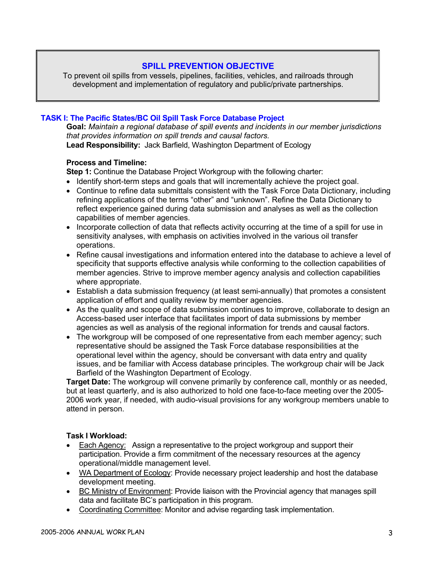# **SPILL PREVENTION OBJECTIVE**

To prevent oil spills from vessels, pipelines, facilities, vehicles, and railroads through development and implementation of regulatory and public/private partnerships.

## **TASK I: The Pacific States/BC Oil Spill Task Force Database Project**

**Goal:** *Maintain a regional database of spill events and incidents in our member jurisdictions that provides information on spill trends and causal factors.*  **Lead Responsibility:** Jack Barfield, Washington Department of Ecology

#### **Process and Timeline:**

**Step 1:** Continue the Database Project Workgroup with the following charter:

- Identify short-term steps and goals that will incrementally achieve the project goal.
- Continue to refine data submittals consistent with the Task Force Data Dictionary, including refining applications of the terms "other" and "unknown". Refine the Data Dictionary to reflect experience gained during data submission and analyses as well as the collection capabilities of member agencies.
- Incorporate collection of data that reflects activity occurring at the time of a spill for use in sensitivity analyses, with emphasis on activities involved in the various oil transfer operations.
- Refine causal investigations and information entered into the database to achieve a level of specificity that supports effective analysis while conforming to the collection capabilities of member agencies. Strive to improve member agency analysis and collection capabilities where appropriate.
- Establish a data submission frequency (at least semi-annually) that promotes a consistent application of effort and quality review by member agencies.
- As the quality and scope of data submission continues to improve, collaborate to design an Access-based user interface that facilitates import of data submissions by member agencies as well as analysis of the regional information for trends and causal factors.
- The workgroup will be composed of one representative from each member agency: such representative should be assigned the Task Force database responsibilities at the operational level within the agency, should be conversant with data entry and quality issues, and be familiar with Access database principles. The workgroup chair will be Jack Barfield of the Washington Department of Ecology.

**Target Date:** The workgroup will convene primarily by conference call, monthly or as needed, but at least quarterly, and is also authorized to hold one face-to-face meeting over the 2005- 2006 work year, if needed, with audio-visual provisions for any workgroup members unable to attend in person.

- Each Agency: Assign a representative to the project workgroup and support their participation. Provide a firm commitment of the necessary resources at the agency operational/middle management level.
- WA Department of Ecology: Provide necessary project leadership and host the database development meeting.
- BC Ministry of Environment: Provide liaison with the Provincial agency that manages spill data and facilitate BC's participation in this program.
- Coordinating Committee: Monitor and advise regarding task implementation.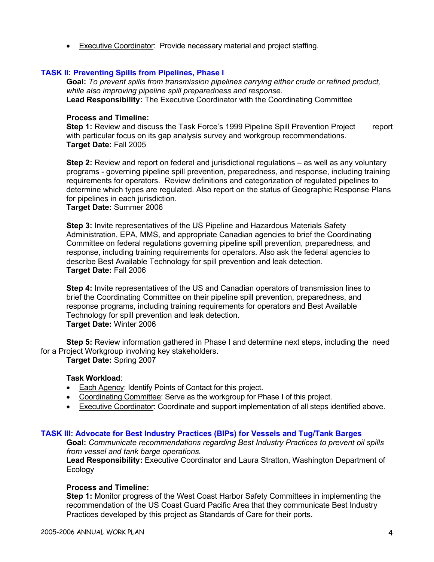• Executive Coordinator: Provide necessary material and project staffing.

## **TASK II: Preventing Spills from Pipelines, Phase I**

**Goal:** *To prevent spills from transmission pipelines carrying either crude or refined product, while also improving pipeline spill preparedness and response.*  **Lead Responsibility:** The Executive Coordinator with the Coordinating Committee

#### **Process and Timeline:**

**Step 1:** Review and discuss the Task Force's 1999 Pipeline Spill Prevention Project report with particular focus on its gap analysis survey and workgroup recommendations. **Target Date:** Fall 2005

**Step 2:** Review and report on federal and jurisdictional regulations – as well as any voluntary programs - governing pipeline spill prevention, preparedness, and response, including training requirements for operators. Review definitions and categorization of regulated pipelines to determine which types are regulated. Also report on the status of Geographic Response Plans for pipelines in each jurisdiction.

**Target Date:** Summer 2006

**Step 3:** Invite representatives of the US Pipeline and Hazardous Materials Safety Administration, EPA, MMS, and appropriate Canadian agencies to brief the Coordinating Committee on federal regulations governing pipeline spill prevention, preparedness, and response, including training requirements for operators. Also ask the federal agencies to describe Best Available Technology for spill prevention and leak detection. **Target Date:** Fall 2006

**Step 4:** Invite representatives of the US and Canadian operators of transmission lines to brief the Coordinating Committee on their pipeline spill prevention, preparedness, and response programs, including training requirements for operators and Best Available Technology for spill prevention and leak detection. **Target Date:** Winter 2006

**Step 5:** Review information gathered in Phase I and determine next steps, including the need for a Project Workgroup involving key stakeholders.

**Target Date:** Spring 2007

#### **Task Workload**:

- Each Agency: Identify Points of Contact for this project.
- Coordinating Committee: Serve as the workgroup for Phase I of this project.
- Executive Coordinator: Coordinate and support implementation of all steps identified above.

#### **TASK III: Advocate for Best Industry Practices (BIPs) for Vessels and Tug/Tank Barges**

**Goal:** *Communicate recommendations regarding Best Industry Practices to prevent oil spills from vessel and tank barge operations.* 

**Lead Responsibility:** Executive Coordinator and Laura Stratton, Washington Department of **Ecology** 

#### **Process and Timeline:**

**Step 1:** Monitor progress of the West Coast Harbor Safety Committees in implementing the recommendation of the US Coast Guard Pacific Area that they communicate Best Industry Practices developed by this project as Standards of Care for their ports.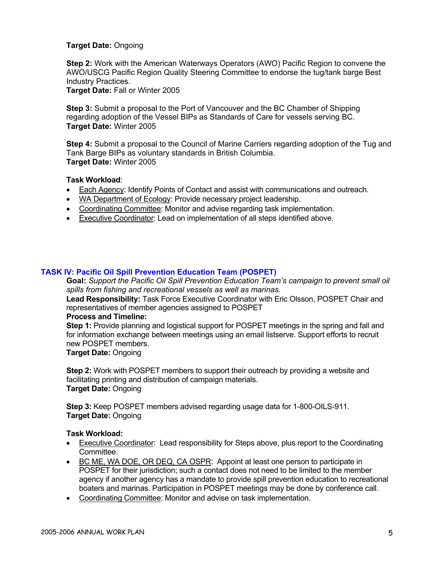## **Target Date:** Ongoing

**Step 2:** Work with the American Waterways Operators (AWO) Pacific Region to convene the AWO/USCG Pacific Region Quality Steering Committee to endorse the tug/tank barge Best Industry Practices.

**Target Date:** Fall or Winter 2005

**Step 3:** Submit a proposal to the Port of Vancouver and the BC Chamber of Shipping regarding adoption of the Vessel BIPs as Standards of Care for vessels serving BC. **Target Date:** Winter 2005

**Step 4:** Submit a proposal to the Council of Marine Carriers regarding adoption of the Tug and Tank Barge BIPs as voluntary standards in British Columbia. **Target Date:** Winter 2005

## **Task Workload**:

- Each Agency: Identify Points of Contact and assist with communications and outreach.
- WA Department of Ecology: Provide necessary project leadership.
- Coordinating Committee: Monitor and advise regarding task implementation.
- Executive Coordinator: Lead on implementation of all steps identified above.

## **TASK IV: Pacific Oil Spill Prevention Education Team (POSPET)**

**Goal:** *Support the Pacific Oil Spill Prevention Education Team's campaign to prevent small oil spills from fishing and recreational vessels as well as marinas.*

**Lead Responsibility:** Task Force Executive Coordinator with Eric Olsson, POSPET Chair and representatives of member agencies assigned to POSPET

#### **Process and Timeline:**

**Step 1:** Provide planning and logistical support for POSPET meetings in the spring and fall and for information exchange between meetings using an email listserve. Support efforts to recruit new POSPET members.

## **Target Date:** Ongoing

**Step 2:** Work with POSPET members to support their outreach by providing a website and facilitating printing and distribution of campaign materials. **Target Date:** Ongoing

**Step 3:** Keep POSPET members advised regarding usage data for 1-800-OILS-911. **Target Date:** Ongoing

- Executive Coordinator: Lead responsibility for Steps above, plus report to the Coordinating **Committee.**
- BC ME, WA DOE, OR DEQ, CA OSPR: Appoint at least one person to participate in POSPET for their jurisdiction; such a contact does not need to be limited to the member agency if another agency has a mandate to provide spill prevention education to recreational boaters and marinas. Participation in POSPET meetings may be done by conference call.
- Coordinating Committee: Monitor and advise on task implementation.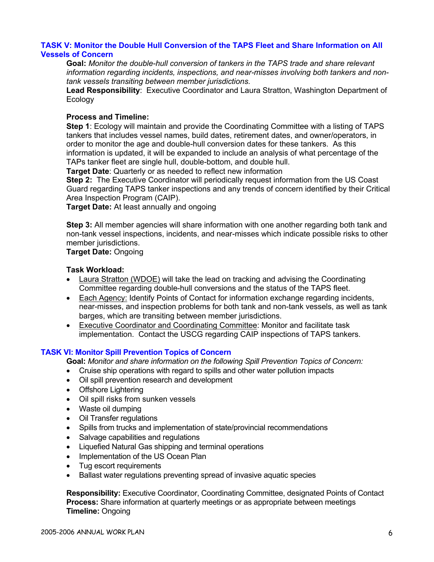## **TASK V: Monitor the Double Hull Conversion of the TAPS Fleet and Share Information on All Vessels of Concern**

**Goal:** *Monitor the double-hull conversion of tankers in the TAPS trade and share relevant information regarding incidents, inspections, and near-misses involving both tankers and nontank vessels transiting between member jurisdictions.*

**Lead Responsibility**: Executive Coordinator and Laura Stratton, Washington Department of Ecology

## **Process and Timeline:**

**Step 1**: Ecology will maintain and provide the Coordinating Committee with a listing of TAPS tankers that includes vessel names, build dates, retirement dates, and owner/operators, in order to monitor the age and double-hull conversion dates for these tankers. As this information is updated, it will be expanded to include an analysis of what percentage of the TAPs tanker fleet are single hull, double-bottom, and double hull.

**Target Date**: Quarterly or as needed to reflect new information

**Step 2:** The Executive Coordinator will periodically request information from the US Coast Guard regarding TAPS tanker inspections and any trends of concern identified by their Critical Area Inspection Program (CAIP).

**Target Date:** At least annually and ongoing

**Step 3:** All member agencies will share information with one another regarding both tank and non-tank vessel inspections, incidents, and near-misses which indicate possible risks to other member jurisdictions.

**Target Date:** Ongoing

#### **Task Workload:**

- Laura Stratton (WDOE) will take the lead on tracking and advising the Coordinating Committee regarding double-hull conversions and the status of the TAPS fleet.
- Each Agency: Identify Points of Contact for information exchange regarding incidents, near-misses, and inspection problems for both tank and non-tank vessels, as well as tank barges, which are transiting between member jurisdictions.
- Executive Coordinator and Coordinating Committee: Monitor and facilitate task implementation. Contact the USCG regarding CAIP inspections of TAPS tankers.

## **TASK VI: Monitor Spill Prevention Topics of Concern**

**Goal:** *Monitor and share information on the following Spill Prevention Topics of Concern:*

- Cruise ship operations with regard to spills and other water pollution impacts
- Oil spill prevention research and development
- Offshore Lightering
- Oil spill risks from sunken vessels
- Waste oil dumping
- Oil Transfer regulations
- Spills from trucks and implementation of state/provincial recommendations
- Salvage capabilities and regulations
- Liquefied Natural Gas shipping and terminal operations
- Implementation of the US Ocean Plan
- Tug escort requirements
- Ballast water regulations preventing spread of invasive aquatic species

**Responsibility:** Executive Coordinator, Coordinating Committee, designated Points of Contact **Process:** Share information at quarterly meetings or as appropriate between meetings **Timeline:** Ongoing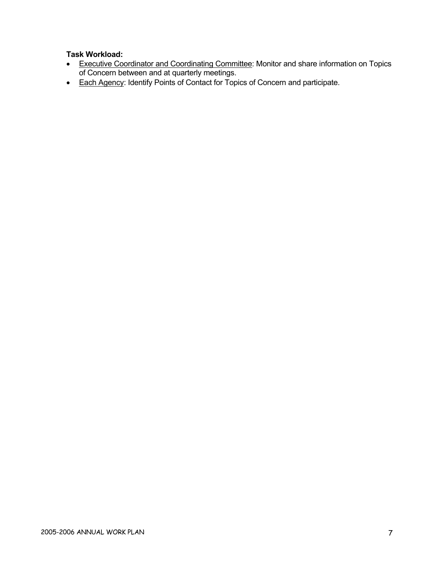- Executive Coordinator and Coordinating Committee: Monitor and share information on Topics of Concern between and at quarterly meetings.
- Each Agency: Identify Points of Contact for Topics of Concern and participate.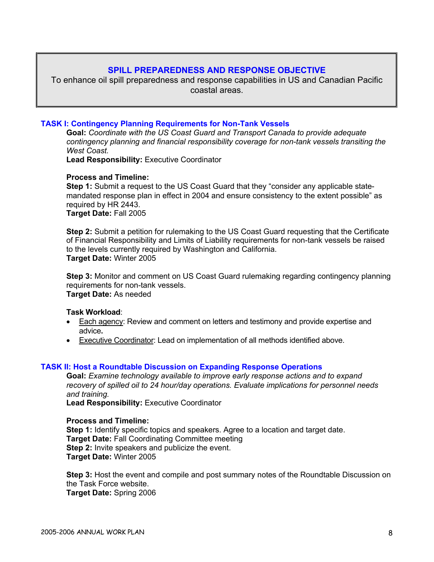# **SPILL PREPAREDNESS AND RESPONSE OBJECTIVE**

To enhance oil spill preparedness and response capabilities in US and Canadian Pacific coastal areas.

### **TASK I: Contingency Planning Requirements for Non-Tank Vessels**

**Goal:** *Coordinate with the US Coast Guard and Transport Canada to provide adequate contingency planning and financial responsibility coverage for non-tank vessels transiting the West Coast.* 

**Lead Responsibility:** Executive Coordinator

#### **Process and Timeline:**

**Step 1:** Submit a request to the US Coast Guard that they "consider any applicable statemandated response plan in effect in 2004 and ensure consistency to the extent possible" as required by HR 2443. **Target Date:** Fall 2005

**Step 2:** Submit a petition for rulemaking to the US Coast Guard requesting that the Certificate of Financial Responsibility and Limits of Liability requirements for non-tank vessels be raised to the levels currently required by Washington and California. **Target Date:** Winter 2005

**Step 3:** Monitor and comment on US Coast Guard rulemaking regarding contingency planning requirements for non-tank vessels. **Target Date:** As needed

#### **Task Workload**:

- Each agency: Review and comment on letters and testimony and provide expertise and advice**.**
- Executive Coordinator: Lead on implementation of all methods identified above.

#### **TASK II: Host a Roundtable Discussion on Expanding Response Operations**

**Goal:** *Examine technology available to improve early response actions and to expand recovery of spilled oil to 24 hour/day operations. Evaluate implications for personnel needs and training.* 

**Lead Responsibility:** Executive Coordinator

#### **Process and Timeline:**

**Step 1:** Identify specific topics and speakers. Agree to a location and target date. **Target Date:** Fall Coordinating Committee meeting **Step 2:** Invite speakers and publicize the event. **Target Date:** Winter 2005

**Step 3:** Host the event and compile and post summary notes of the Roundtable Discussion on the Task Force website. **Target Date:** Spring 2006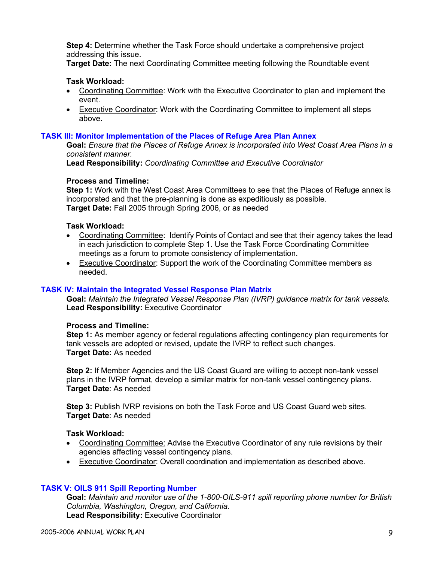**Step 4:** Determine whether the Task Force should undertake a comprehensive project addressing this issue.

**Target Date:** The next Coordinating Committee meeting following the Roundtable event

## **Task Workload:**

- Coordinating Committee: Work with the Executive Coordinator to plan and implement the event.
- Executive Coordinator: Work with the Coordinating Committee to implement all steps above.

## **TASK III: Monitor Implementation of the Places of Refuge Area Plan Annex**

**Goal:** *Ensure that the Places of Refuge Annex is incorporated into West Coast Area Plans in a consistent manner.*

**Lead Responsibility:** *Coordinating Committee and Executive Coordinator*

#### **Process and Timeline:**

**Step 1:** Work with the West Coast Area Committees to see that the Places of Refuge annex is incorporated and that the pre-planning is done as expeditiously as possible. **Target Date:** Fall 2005 through Spring 2006, or as needed

#### **Task Workload:**

- Coordinating Committee: Identify Points of Contact and see that their agency takes the lead in each jurisdiction to complete Step 1. Use the Task Force Coordinating Committee meetings as a forum to promote consistency of implementation.
- Executive Coordinator: Support the work of the Coordinating Committee members as needed.

## **TASK IV: Maintain the Integrated Vessel Response Plan Matrix**

**Goal:** *Maintain the Integrated Vessel Response Plan (IVRP) guidance matrix for tank vessels.*  **Lead Responsibility:** Executive Coordinator

#### **Process and Timeline:**

**Step 1:** As member agency or federal regulations affecting contingency plan requirements for tank vessels are adopted or revised, update the IVRP to reflect such changes. **Target Date:** As needed

**Step 2:** If Member Agencies and the US Coast Guard are willing to accept non-tank vessel plans in the IVRP format, develop a similar matrix for non-tank vessel contingency plans. **Target Date**: As needed

**Step 3:** Publish IVRP revisions on both the Task Force and US Coast Guard web sites. **Target Date**: As needed

## **Task Workload:**

- Coordinating Committee: Advise the Executive Coordinator of any rule revisions by their agencies affecting vessel contingency plans.
- Executive Coordinator: Overall coordination and implementation as described above.

#### **TASK V: OILS 911 Spill Reporting Number**

**Goal:** *Maintain and monitor use of the 1-800-OILS-911 spill reporting phone number for British Columbia, Washington, Oregon, and California.*  **Lead Responsibility:** Executive Coordinator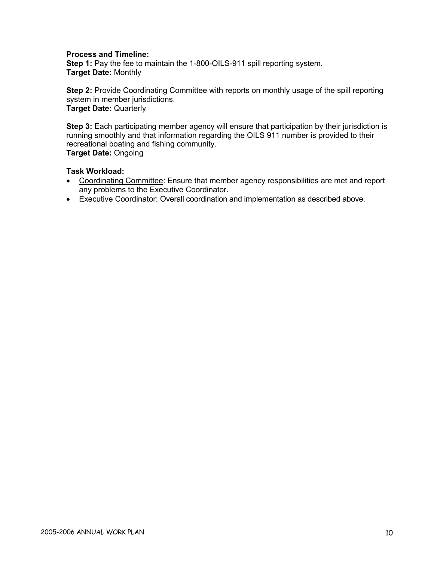## **Process and Timeline:**

**Step 1:** Pay the fee to maintain the 1-800-OILS-911 spill reporting system. **Target Date:** Monthly

**Step 2:** Provide Coordinating Committee with reports on monthly usage of the spill reporting system in member jurisdictions. **Target Date:** Quarterly

**Step 3:** Each participating member agency will ensure that participation by their jurisdiction is running smoothly and that information regarding the OILS 911 number is provided to their recreational boating and fishing community. **Target Date:** Ongoing

- Coordinating Committee: Ensure that member agency responsibilities are met and report any problems to the Executive Coordinator.
- Executive Coordinator: Overall coordination and implementation as described above.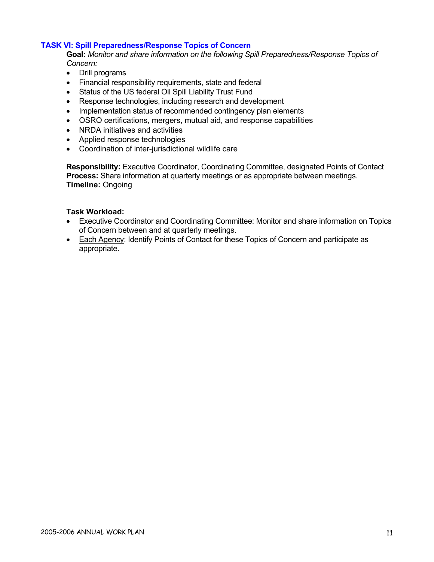#### **TASK VI: Spill Preparedness/Response Topics of Concern**

**Goal:** *Monitor and share information on the following Spill Preparedness/Response Topics of Concern:*

- Drill programs
- Financial responsibility requirements, state and federal
- Status of the US federal Oil Spill Liability Trust Fund
- Response technologies, including research and development
- Implementation status of recommended contingency plan elements
- OSRO certifications, mergers, mutual aid, and response capabilities
- NRDA initiatives and activities
- Applied response technologies
- Coordination of inter-jurisdictional wildlife care

**Responsibility:** Executive Coordinator, Coordinating Committee, designated Points of Contact **Process:** Share information at quarterly meetings or as appropriate between meetings. **Timeline:** Ongoing

- Executive Coordinator and Coordinating Committee: Monitor and share information on Topics of Concern between and at quarterly meetings.
- Each Agency: Identify Points of Contact for these Topics of Concern and participate as appropriate.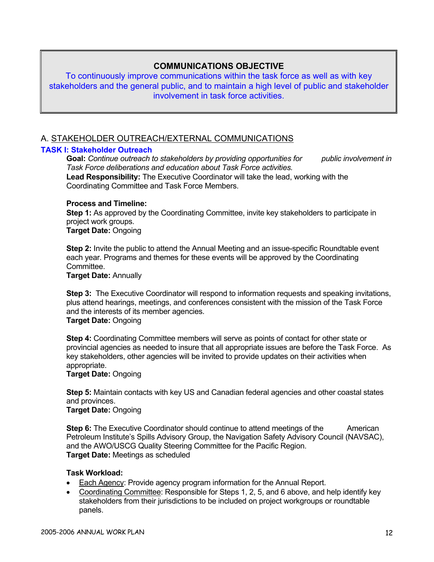## **COMMUNICATIONS OBJECTIVE**

To continuously improve communications within the task force as well as with key stakeholders and the general public, and to maintain a high level of public and stakeholder involvement in task force activities.

## A. STAKEHOLDER OUTREACH/EXTERNAL COMMUNICATIONS

#### **TASK I: Stakeholder Outreach**

**Goal:** *Continue outreach to stakeholders by providing opportunities for public involvement in Task Force deliberations and education about Task Force activities.* **Lead Responsibility:** The Executive Coordinator will take the lead, working with the Coordinating Committee and Task Force Members.

#### **Process and Timeline:**

**Step 1:** As approved by the Coordinating Committee, invite key stakeholders to participate in project work groups.

**Target Date:** Ongoing

**Step 2:** Invite the public to attend the Annual Meeting and an issue-specific Roundtable event each year. Programs and themes for these events will be approved by the Coordinating Committee.

**Target Date:** Annually

**Step 3:** The Executive Coordinator will respond to information requests and speaking invitations, plus attend hearings, meetings, and conferences consistent with the mission of the Task Force and the interests of its member agencies.

## **Target Date:** Ongoing

**Step 4:** Coordinating Committee members will serve as points of contact for other state or provincial agencies as needed to insure that all appropriate issues are before the Task Force. As key stakeholders, other agencies will be invited to provide updates on their activities when appropriate.

## **Target Date:** Ongoing

**Step 5:** Maintain contacts with key US and Canadian federal agencies and other coastal states and provinces.

#### **Target Date:** Ongoing

**Step 6:** The Executive Coordinator should continue to attend meetings of the American Petroleum Institute's Spills Advisory Group, the Navigation Safety Advisory Council (NAVSAC), and the AWO/USCG Quality Steering Committee for the Pacific Region. **Target Date:** Meetings as scheduled

- Each Agency: Provide agency program information for the Annual Report.
- Coordinating Committee: Responsible for Steps 1, 2, 5, and 6 above, and help identify key stakeholders from their jurisdictions to be included on project workgroups or roundtable panels.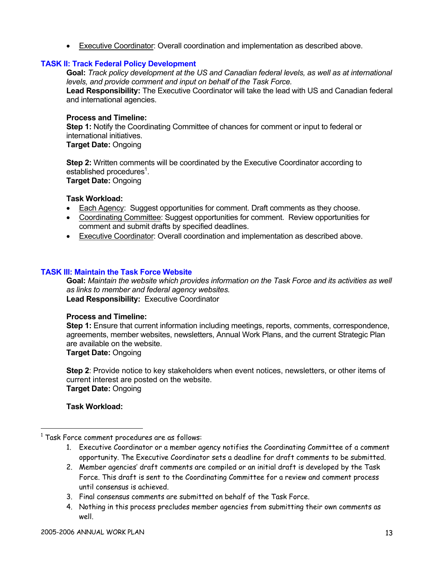• Executive Coordinator: Overall coordination and implementation as described above.

## **TASK II: Track Federal Policy Development**

**Goal:** *Track policy development at the US and Canadian federal levels, as well as at international levels, and provide comment and input on behalf of the Task Force.*

**Lead Responsibility:** The Executive Coordinator will take the lead with US and Canadian federal and international agencies.

### **Process and Timeline:**

**Step 1:** Notify the Coordinating Committee of chances for comment or input to federal or international initiatives.

**Target Date:** Ongoing

**Step 2:** Written comments will be coordinated by the Executive Coordinator according to established procedures<sup>1</sup>. **Target Date:** Ongoing

## **Task Workload:**

- Each Agency: Suggest opportunities for comment. Draft comments as they choose.
- Coordinating Committee: Suggest opportunities for comment. Review opportunities for comment and submit drafts by specified deadlines.
- Executive Coordinator: Overall coordination and implementation as described above.

## **TASK III: Maintain the Task Force Website**

**Goal:** *Maintain the website which provides information on the Task Force and its activities as well as links to member and federal agency websites.*  **Lead Responsibility:** Executive Coordinator

#### **Process and Timeline:**

**Step 1:** Ensure that current information including meetings, reports, comments, correspondence, agreements, member websites, newsletters, Annual Work Plans, and the current Strategic Plan are available on the website.

**Target Date:** Ongoing

**Step 2**: Provide notice to key stakeholders when event notices, newsletters, or other items of current interest are posted on the website. **Target Date:** Ongoing

- 1. Executive Coordinator or a member agency notifies the Coordinating Committee of a comment opportunity. The Executive Coordinator sets a deadline for draft comments to be submitted.
- 2. Member agencies' draft comments are compiled or an initial draft is developed by the Task Force. This draft is sent to the Coordinating Committee for a review and comment process until consensus is achieved.
- 3. Final consensus comments are submitted on behalf of the Task Force.
- 4. Nothing in this process precludes member agencies from submitting their own comments as well.

<sup>&</sup>lt;sup>1</sup> Task Force comment procedures are as follows: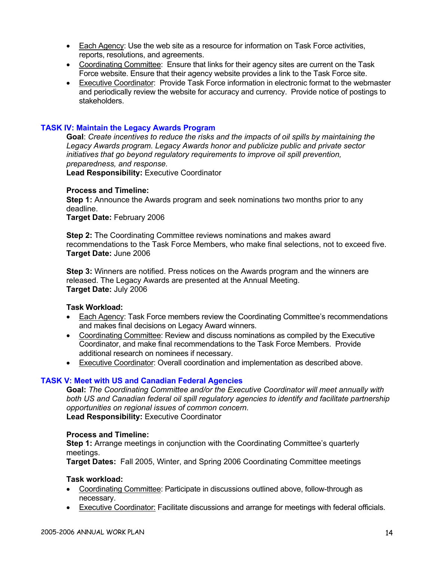- Each Agency: Use the web site as a resource for information on Task Force activities, reports, resolutions, and agreements.
- Coordinating Committee: Ensure that links for their agency sites are current on the Task Force website. Ensure that their agency website provides a link to the Task Force site.
- Executive Coordinator: Provide Task Force information in electronic format to the webmaster and periodically review the website for accuracy and currency. Provide notice of postings to stakeholders.

#### **TASK IV: Maintain the Legacy Awards Program**

**Goal**: *Create incentives to reduce the risks and the impacts of oil spills by maintaining the Legacy Awards program. Legacy Awards honor and publicize public and private sector initiatives that go beyond regulatory requirements to improve oil spill prevention, preparedness, and response.*

**Lead Responsibility:** Executive Coordinator

## **Process and Timeline:**

**Step 1:** Announce the Awards program and seek nominations two months prior to any deadline.

**Target Date:** February 2006

**Step 2:** The Coordinating Committee reviews nominations and makes award recommendations to the Task Force Members, who make final selections, not to exceed five. **Target Date:** June 2006

**Step 3:** Winners are notified. Press notices on the Awards program and the winners are released. The Legacy Awards are presented at the Annual Meeting. **Target Date:** July 2006

#### **Task Workload:**

- Each Agency: Task Force members review the Coordinating Committee's recommendations and makes final decisions on Legacy Award winners.
- Coordinating Committee: Review and discuss nominations as compiled by the Executive Coordinator, and make final recommendations to the Task Force Members. Provide additional research on nominees if necessary.
- Executive Coordinator: Overall coordination and implementation as described above.

#### **TASK V: Meet with US and Canadian Federal Agencies**

**Goal:** *The Coordinating Committee and/or the Executive Coordinator will meet annually with both US and Canadian federal oil spill regulatory agencies to identify and facilitate partnership opportunities on regional issues of common concern.* **Lead Responsibility:** Executive Coordinator

#### **Process and Timeline:**

**Step 1:** Arrange meetings in conjunction with the Coordinating Committee's quarterly meetings.

**Target Dates:** Fall 2005, Winter, and Spring 2006 Coordinating Committee meetings

- Coordinating Committee: Participate in discussions outlined above, follow-through as necessary.
- Executive Coordinator: Facilitate discussions and arrange for meetings with federal officials.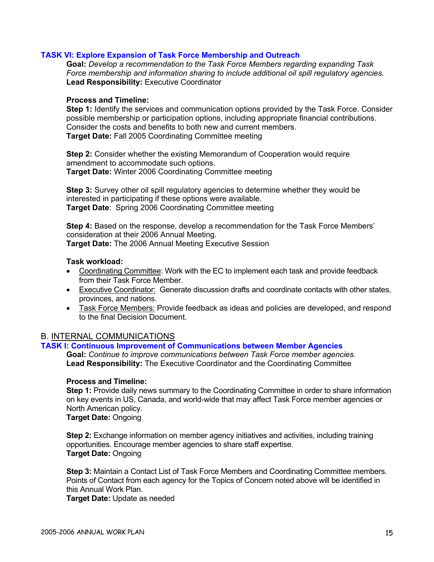## **TASK VI: Explore Expansion of Task Force Membership and Outreach**

**Goal:** *Develop a recommendation to the Task Force Members regarding expanding Task Force membership and information sharing to include additional oil spill regulatory agencies.* **Lead Responsibility:** Executive Coordinator

#### **Process and Timeline:**

Step 1: Identify the services and communication options provided by the Task Force. Consider possible membership or participation options, including appropriate financial contributions. Consider the costs and benefits to both new and current members. **Target Date:** Fall 2005 Coordinating Committee meeting

**Step 2:** Consider whether the existing Memorandum of Cooperation would require amendment to accommodate such options. **Target Date:** Winter 2006 Coordinating Committee meeting

**Step 3:** Survey other oil spill regulatory agencies to determine whether they would be interested in participating if these options were available. **Target Date**: Spring 2006 Coordinating Committee meeting

**Step 4:** Based on the response, develop a recommendation for the Task Force Members' consideration at their 2006 Annual Meeting.

**Target Date:** The 2006 Annual Meeting Executive Session

## **Task workload:**

- Coordinating Committee: Work with the EC to implement each task and provide feedback from their Task Force Member.
- Executive Coordinator: Generate discussion drafts and coordinate contacts with other states, provinces, and nations.
- Task Force Members: Provide feedback as ideas and policies are developed, and respond to the final Decision Document.

## B. INTERNAL COMMUNICATIONS

## **TASK I: Continuous Improvement of Communications between Member Agencies**

**Goal:** *Continue to improve communications between Task Force member agencies.* **Lead Responsibility:** The Executive Coordinator and the Coordinating Committee

#### **Process and Timeline:**

**Step 1:** Provide daily news summary to the Coordinating Committee in order to share information on key events in US, Canada, and world-wide that may affect Task Force member agencies or North American policy.

**Target Date:** Ongoing

**Step 2:** Exchange information on member agency initiatives and activities, including training opportunities. Encourage member agencies to share staff expertise. **Target Date:** Ongoing

**Step 3:** Maintain a Contact List of Task Force Members and Coordinating Committee members. Points of Contact from each agency for the Topics of Concern noted above will be identified in this Annual Work Plan.

**Target Date:** Update as needed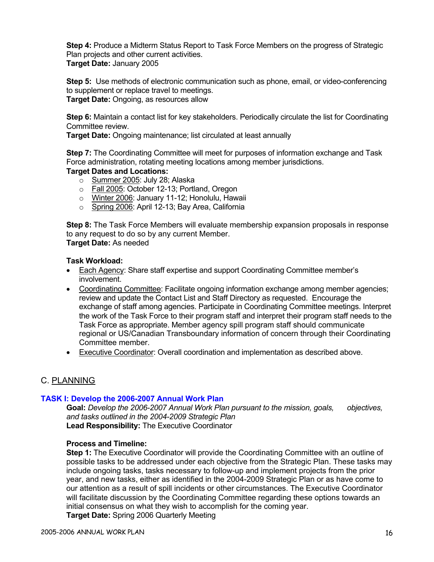**Step 4:** Produce a Midterm Status Report to Task Force Members on the progress of Strategic Plan projects and other current activities. **Target Date:** January 2005

**Step 5:** Use methods of electronic communication such as phone, email, or video-conferencing to supplement or replace travel to meetings. **Target Date:** Ongoing, as resources allow

**Step 6:** Maintain a contact list for key stakeholders. Periodically circulate the list for Coordinating Committee review.

**Target Date:** Ongoing maintenance; list circulated at least annually

**Step 7:** The Coordinating Committee will meet for purposes of information exchange and Task Force administration, rotating meeting locations among member jurisdictions.

## **Target Dates and Locations:**

- $\circ$  Summer 2005: July 28; Alaska
- o Fall 2005: October 12-13; Portland, Oregon
- o Winter 2006: January 11-12; Honolulu, Hawaii
- o Spring 2006: April 12-13; Bay Area, California

**Step 8:** The Task Force Members will evaluate membership expansion proposals in response to any request to do so by any current Member.

# **Target Date:** As needed

#### **Task Workload:**

- Each Agency: Share staff expertise and support Coordinating Committee member's involvement.
- Coordinating Committee: Facilitate ongoing information exchange among member agencies; review and update the Contact List and Staff Directory as requested. Encourage the exchange of staff among agencies. Participate in Coordinating Committee meetings. Interpret the work of the Task Force to their program staff and interpret their program staff needs to the Task Force as appropriate. Member agency spill program staff should communicate regional or US/Canadian Transboundary information of concern through their Coordinating Committee member.
- Executive Coordinator: Overall coordination and implementation as described above.

## C. PLANNING

#### **TASK I: Develop the 2006-2007 Annual Work Plan**

**Goal:** *Develop the 2006-2007 Annual Work Plan pursuant to the mission, goals, objectives, and tasks outlined in the 2004-2009 Strategic Plan* **Lead Responsibility:** The Executive Coordinator

#### **Process and Timeline:**

**Step 1:** The Executive Coordinator will provide the Coordinating Committee with an outline of possible tasks to be addressed under each objective from the Strategic Plan. These tasks may include ongoing tasks, tasks necessary to follow-up and implement projects from the prior year, and new tasks, either as identified in the 2004-2009 Strategic Plan or as have come to our attention as a result of spill incidents or other circumstances. The Executive Coordinator will facilitate discussion by the Coordinating Committee regarding these options towards an initial consensus on what they wish to accomplish for the coming year.

**Target Date:** Spring 2006 Quarterly Meeting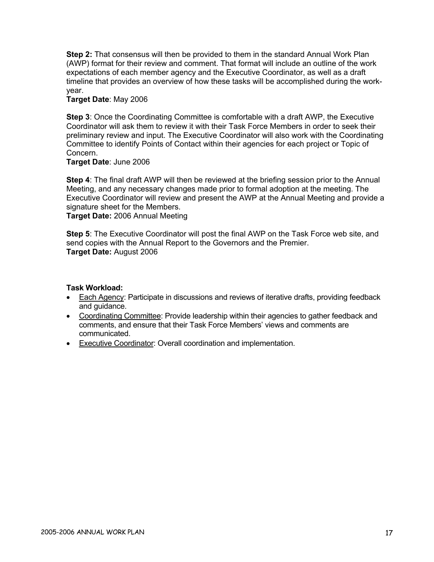**Step 2:** That consensus will then be provided to them in the standard Annual Work Plan (AWP) format for their review and comment. That format will include an outline of the work expectations of each member agency and the Executive Coordinator, as well as a draft timeline that provides an overview of how these tasks will be accomplished during the workyear.

**Target Date**: May 2006

**Step 3**: Once the Coordinating Committee is comfortable with a draft AWP, the Executive Coordinator will ask them to review it with their Task Force Members in order to seek their preliminary review and input. The Executive Coordinator will also work with the Coordinating Committee to identify Points of Contact within their agencies for each project or Topic of Concern.

**Target Date**: June 2006

**Step 4**: The final draft AWP will then be reviewed at the briefing session prior to the Annual Meeting, and any necessary changes made prior to formal adoption at the meeting. The Executive Coordinator will review and present the AWP at the Annual Meeting and provide a signature sheet for the Members.

**Target Date:** 2006 Annual Meeting

**Step 5**: The Executive Coordinator will post the final AWP on the Task Force web site, and send copies with the Annual Report to the Governors and the Premier. **Target Date:** August 2006

- Each Agency: Participate in discussions and reviews of iterative drafts, providing feedback and guidance.
- Coordinating Committee: Provide leadership within their agencies to gather feedback and comments, and ensure that their Task Force Members' views and comments are communicated.
- Executive Coordinator: Overall coordination and implementation.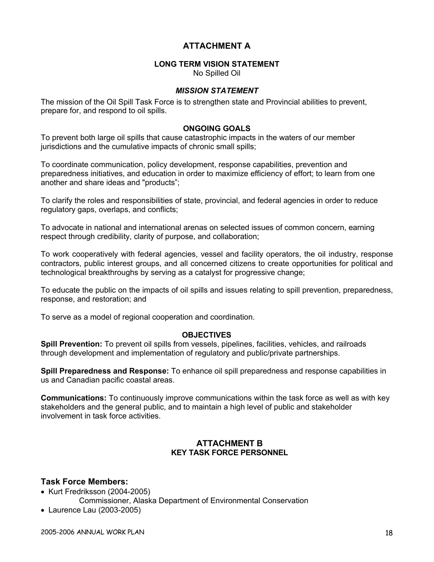# **ATTACHMENT A**

## **LONG TERM VISION STATEMENT**

No Spilled Oil

## *MISSION STATEMENT*

The mission of the Oil Spill Task Force is to strengthen state and Provincial abilities to prevent, prepare for, and respond to oil spills.

## **ONGOING GOALS**

To prevent both large oil spills that cause catastrophic impacts in the waters of our member jurisdictions and the cumulative impacts of chronic small spills;

To coordinate communication, policy development, response capabilities, prevention and preparedness initiatives, and education in order to maximize efficiency of effort; to learn from one another and share ideas and "products";

To clarify the roles and responsibilities of state, provincial, and federal agencies in order to reduce regulatory gaps, overlaps, and conflicts;

To advocate in national and international arenas on selected issues of common concern, earning respect through credibility, clarity of purpose, and collaboration;

To work cooperatively with federal agencies, vessel and facility operators, the oil industry, response contractors, public interest groups, and all concerned citizens to create opportunities for political and technological breakthroughs by serving as a catalyst for progressive change;

To educate the public on the impacts of oil spills and issues relating to spill prevention, preparedness, response, and restoration; and

To serve as a model of regional cooperation and coordination.

#### **OBJECTIVES**

**Spill Prevention:** To prevent oil spills from vessels, pipelines, facilities, vehicles, and railroads through development and implementation of regulatory and public/private partnerships.

**Spill Preparedness and Response:** To enhance oil spill preparedness and response capabilities in us and Canadian pacific coastal areas.

**Communications:** To continuously improve communications within the task force as well as with key stakeholders and the general public, and to maintain a high level of public and stakeholder involvement in task force activities.

## **ATTACHMENT B KEY TASK FORCE PERSONNEL**

#### **Task Force Members:**

- Kurt Fredriksson (2004-2005)
	- Commissioner, Alaska Department of Environmental Conservation
- Laurence Lau (2003-2005)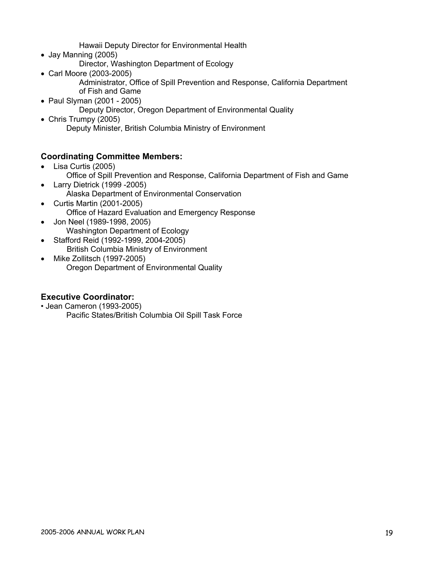Hawaii Deputy Director for Environmental Health

- Jay Manning (2005)
	- Director, Washington Department of Ecology
- Carl Moore (2003-2005) Administrator, Office of Spill Prevention and Response, California Department of Fish and Game
- Paul Slyman (2001 2005) Deputy Director, Oregon Department of Environmental Quality
- Chris Trumpy (2005) Deputy Minister, British Columbia Ministry of Environment

# **Coordinating Committee Members:**

- Lisa Curtis (2005)
	- Office of Spill Prevention and Response, California Department of Fish and Game
- Larry Dietrick (1999 -2005) Alaska Department of Environmental Conservation
- Curtis Martin (2001-2005) Office of Hazard Evaluation and Emergency Response
- Jon Neel (1989-1998, 2005) Washington Department of Ecology
- Stafford Reid (1992-1999, 2004-2005) British Columbia Ministry of Environment
- Mike Zollitsch (1997-2005) Oregon Department of Environmental Quality

# **Executive Coordinator:**

- Jean Cameron (1993-2005)
	- Pacific States/British Columbia Oil Spill Task Force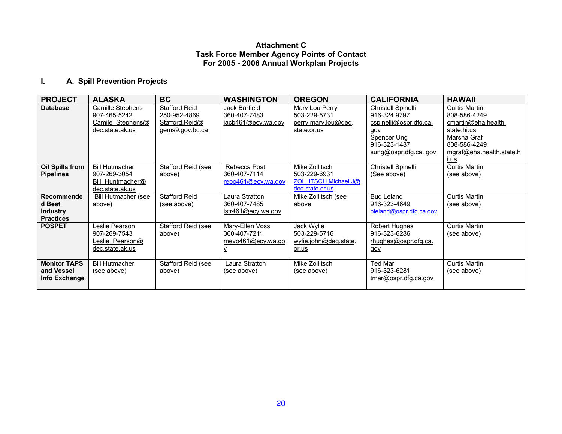## **Attachment C Task Force Member Agency Points of Contact For 2005 - 2006 Annual Workplan Projects**

# **I. A. Spill Prevention Projects**

| <b>PROJECT</b>                                              | <b>ALASKA</b>                                                                | BC.                                                                       | <b>WASHINGTON</b>                                         | <b>OREGON</b>                                                             | <b>CALIFORNIA</b>                                                                                                           | <b>HAWAII</b>                                                                                                                                 |
|-------------------------------------------------------------|------------------------------------------------------------------------------|---------------------------------------------------------------------------|-----------------------------------------------------------|---------------------------------------------------------------------------|-----------------------------------------------------------------------------------------------------------------------------|-----------------------------------------------------------------------------------------------------------------------------------------------|
| <b>Database</b>                                             | Camille Stephens<br>907-465-5242<br>Camile Stephens@<br>dec.state.ak.us      | <b>Stafford Reid</b><br>250-952-4869<br>Stafford.Reid@<br>gems9.gov.bc.ca | Jack Barfield<br>360-407-7483<br>jacb461@ecy.wa.gov       | Mary Lou Perry<br>503-229-5731<br>perry.mary.lou@deq.<br>state.or.us      | Christell Spinelli<br>916-324 9797<br>cspinelli@ospr.dfg.ca.<br>gov<br>Spencer Ung<br>916-323-1487<br>sung@ospr.dfg.ca. gov | <b>Curtis Martin</b><br>808-586-4249<br>cmartin@eha.health.<br>state.hi.us<br>Marsha Graf<br>808-586-4249<br>mgraf@eha.health.state.h<br>i.us |
| <b>Oil Spills from</b><br><b>Pipelines</b>                  | <b>Bill Hutmacher</b><br>907-269-3054<br>Bill Huntmacher@<br>dec.state.ak.us | Stafford Reid (see<br>above)                                              | Rebecca Post<br>360-407-7114<br>repo461@ecy.wa.gov        | Mike Zollitsch<br>503-229-6931<br>ZOLLITSCH.Michael.J@<br>deq.state.or.us | Christell Spinelli<br>(See above)                                                                                           | <b>Curtis Martin</b><br>(see above)                                                                                                           |
| Recommende<br>d Best<br><b>Industry</b><br><b>Practices</b> | <b>Bill Hutmacher (see</b><br>above)                                         | Stafford Reid<br>(see above)                                              | Laura Stratton<br>360-407-7485<br>Istr461@ecy.wa.gov      | Mike Zollitsch (see<br>above                                              | <b>Bud Leland</b><br>916-323-4649<br>bleland@ospr.dfg.ca.gov                                                                | <b>Curtis Martin</b><br>(see above)                                                                                                           |
| <b>POSPET</b>                                               | Leslie Pearson<br>907-269-7543<br>Leslie Pearson@<br>dec.state.ak.us         | Stafford Reid (see<br>above)                                              | Mary-Ellen Voss<br>360-407-7211<br>mevo461@ecy.wa.go<br>⊻ | Jack Wylie<br>503-229-5716<br>wylie.john@deq.state.<br>or.us              | <b>Robert Hughes</b><br>916-323-6286<br>rhughes@ospr.dfg.ca.<br>gov                                                         | <b>Curtis Martin</b><br>(see above)                                                                                                           |
| <b>Monitor TAPS</b><br>and Vessel<br>Info Exchange          | <b>Bill Hutmacher</b><br>(see above)                                         | Stafford Reid (see<br>above)                                              | Laura Stratton<br>(see above)                             | Mike Zollitsch<br>(see above)                                             | Ted Mar<br>916-323-6281<br>tmar@ospr.dfq.ca.gov                                                                             | <b>Curtis Martin</b><br>(see above)                                                                                                           |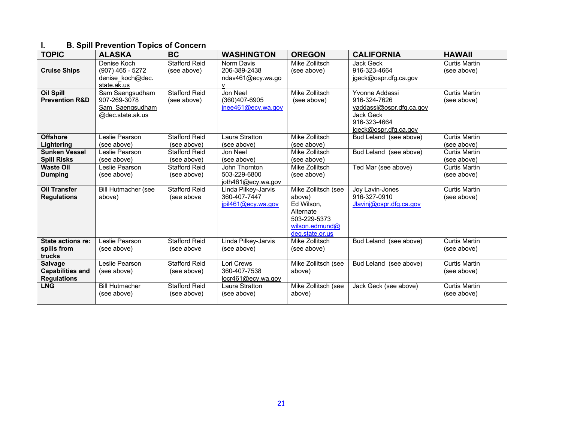# **I. B. Spill Prevention Topics of Concern**

| <b>TOPIC</b>                                                    | <b>ALASKA</b>                                                          | <b>BC</b>                           | <b>WASHINGTON</b>                                               | <b>OREGON</b>                                                                                                    | <b>CALIFORNIA</b>                                                                                                | <b>HAWAII</b>                       |
|-----------------------------------------------------------------|------------------------------------------------------------------------|-------------------------------------|-----------------------------------------------------------------|------------------------------------------------------------------------------------------------------------------|------------------------------------------------------------------------------------------------------------------|-------------------------------------|
| <b>Cruise Ships</b>                                             | Denise Koch<br>$(907)$ 465 - 5272<br>denise koch@dec.<br>state.ak.us   | <b>Stafford Reid</b><br>(see above) | Norm Davis<br>206-389-2438<br>ndav461@ecy.wa.go<br>$\mathsf{V}$ | Mike Zollitsch<br>(see above)                                                                                    | Jack Geck<br>916-323-4664<br>jgeck@ospr.dfg.ca.gov                                                               | <b>Curtis Martin</b><br>(see above) |
| <b>Oil Spill</b><br><b>Prevention R&amp;D</b>                   | Sam Saengsudham<br>907-269-3078<br>Sam Saengsudham<br>@dec.state.ak.us | <b>Stafford Reid</b><br>(see above) | Jon Neel<br>(360)407-6905<br>$\text{inee}461@$ ecy.wa.gov       | Mike Zollitsch<br>(see above)                                                                                    | Yvonne Addassi<br>916-324-7626<br>yaddassi@ospr.dfg.ca.gov<br>Jack Geck<br>916-323-4664<br>jgeck@ospr.dfg.ca.gov | <b>Curtis Martin</b><br>(see above) |
| <b>Offshore</b><br>Lightering                                   | Leslie Pearson<br>(see above)                                          | <b>Stafford Reid</b><br>(see above) | Laura Stratton<br>(see above)                                   | Mike Zollitsch<br>(see above)                                                                                    | Bud Leland (see above)                                                                                           | <b>Curtis Martin</b><br>(see above) |
| <b>Sunken Vessel</b><br><b>Spill Risks</b>                      | Leslie Pearson<br>(see above)                                          | <b>Stafford Reid</b><br>(see above) | Jon Neel<br>(see above)                                         | Mike Zollitsch<br>(see above)                                                                                    | Bud Leland (see above)                                                                                           | Curtis Martin<br>(see above)        |
| <b>Waste Oil</b><br><b>Dumping</b>                              | Leslie Pearson<br>(see above)                                          | <b>Stafford Reid</b><br>(see above) | John Thornton<br>503-229-6800<br>joth461@ecy.wa.gov             | Mike Zollitsch<br>(see above)                                                                                    | Ted Mar (see above)                                                                                              | <b>Curtis Martin</b><br>(see above) |
| <b>Oil Transfer</b><br><b>Regulations</b>                       | <b>Bill Hutmacher (see</b><br>above)                                   | <b>Stafford Reid</b><br>(see above  | Linda Pilkey-Jarvis<br>360-407-7447<br>jpil461@ecy.wa.gov       | Mike Zollitsch (see<br>above)<br>Ed Wilson.<br>Alternate<br>503-229-5373<br>wilson.edmund $@$<br>deg.state.or.us | Joy Lavin-Jones<br>916-327-0910<br>Jlavinj@ospr.dfg.ca.gov                                                       | <b>Curtis Martin</b><br>(see above) |
| <b>State actions re:</b><br>spills from<br>trucks               | Leslie Pearson<br>(see above)                                          | <b>Stafford Reid</b><br>(see above  | Linda Pilkey-Jarvis<br>(see above)                              | Mike Zollitsch<br>(see above)                                                                                    | Bud Leland (see above)                                                                                           | <b>Curtis Martin</b><br>(see above) |
| <b>Salvage</b><br><b>Capabilities and</b><br><b>Regulations</b> | Leslie Pearson<br>(see above)                                          | <b>Stafford Reid</b><br>(see above) | Lori Crews<br>360-407-7538<br>locr461@ecy.wa.gov                | Mike Zollitsch (see<br>above)                                                                                    | Bud Leland (see above)                                                                                           | <b>Curtis Martin</b><br>(see above) |
| <b>LNG</b>                                                      | <b>Bill Hutmacher</b><br>(see above)                                   | <b>Stafford Reid</b><br>(see above) | Laura Stratton<br>(see above)                                   | Mike Zollitsch (see<br>above)                                                                                    | Jack Geck (see above)                                                                                            | <b>Curtis Martin</b><br>(see above) |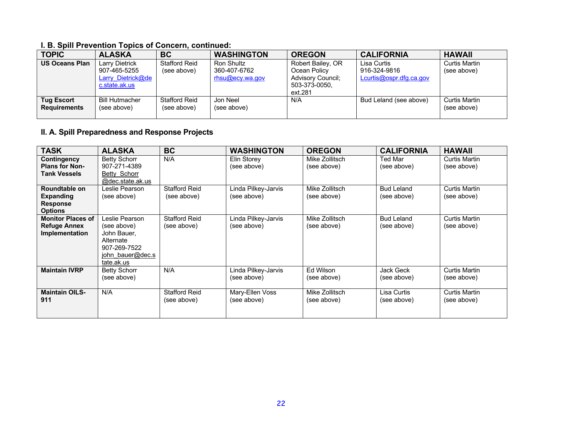## **I. B. Spill Prevention Topics of Concern, continued:**

| <b>TOPIC</b>                             | <b>ALASKA</b>                                                               | <b>BC</b>                           | <b>WASHINGTON</b>                             | <b>OREGON</b>                                                                             | <b>CALIFORNIA</b>                                      | <b>HAWAII</b>                |
|------------------------------------------|-----------------------------------------------------------------------------|-------------------------------------|-----------------------------------------------|-------------------------------------------------------------------------------------------|--------------------------------------------------------|------------------------------|
| <b>US Oceans Plan</b>                    | <b>Larry Dietrick</b><br>907-465-5255<br>Larry Dietrick@de<br>c.state.ak.us | <b>Stafford Reid</b><br>(see above) | Ron Shultz<br>360-407-6762<br>rhsu@ecy.wa.gov | Robert Bailey, OR<br>Ocean Policy<br><b>Advisory Council:</b><br>503-373-0050,<br>ext.281 | Lisa Curtis<br>916-324-9816<br>Lcurtis@ospr.dfg.ca.gov | Curtis Martin<br>(see above) |
| <b>Tug Escort</b><br><b>Requirements</b> | <b>Bill Hutmacher</b><br>(see above)                                        | <b>Stafford Reid</b><br>(see above) | Jon Neel<br>(see above)                       | N/A                                                                                       | Bud Leland (see above)                                 | Curtis Martin<br>(see above) |

# **II. A. Spill Preparedness and Response Projects**

| <b>TASK</b>                                                            | <b>ALASKA</b>                                                                                               | <b>BC</b>                           | <b>WASHINGTON</b>                  | <b>OREGON</b>                 | <b>CALIFORNIA</b>                | <b>HAWAII</b>                |
|------------------------------------------------------------------------|-------------------------------------------------------------------------------------------------------------|-------------------------------------|------------------------------------|-------------------------------|----------------------------------|------------------------------|
| Contingency<br><b>Plans for Non-</b><br><b>Tank Vessels</b>            | <b>Betty Schorr</b><br>907-271-4389<br>Betty Schorr<br>@dec.state.ak.us                                     | N/A                                 | Elin Storey<br>(see above)         | Mike Zollitsch<br>(see above) | <b>Ted Mar</b><br>(see above)    | Curtis Martin<br>(see above) |
| Roundtable on<br><b>Expanding</b><br><b>Response</b><br><b>Options</b> | Leslie Pearson<br>(see above)                                                                               | <b>Stafford Reid</b><br>(see above) | Linda Pilkey-Jarvis<br>(see above) | Mike Zollitsch<br>(see above) | <b>Bud Leland</b><br>(see above) | Curtis Martin<br>(see above) |
| <b>Monitor Places of</b><br><b>Refuge Annex</b><br>Implementation      | Leslie Pearson<br>(see above)<br>John Bauer.<br>Alternate<br>907-269-7522<br>john bauer@dec.s<br>tate.ak.us | <b>Stafford Reid</b><br>(see above) | Linda Pilkey-Jarvis<br>(see above) | Mike Zollitsch<br>(see above) | <b>Bud Leland</b><br>(see above) | Curtis Martin<br>(see above) |
| <b>Maintain IVRP</b>                                                   | <b>Betty Schorr</b><br>(see above)                                                                          | N/A                                 | Linda Pilkey-Jarvis<br>(see above) | Ed Wilson<br>(see above)      | Jack Geck<br>(see above)         | Curtis Martin<br>(see above) |
| <b>Maintain OILS-</b><br>911                                           | N/A                                                                                                         | <b>Stafford Reid</b><br>(see above) | Mary-Ellen Voss<br>(see above)     | Mike Zollitsch<br>(see above) | Lisa Curtis<br>(see above)       | Curtis Martin<br>(see above) |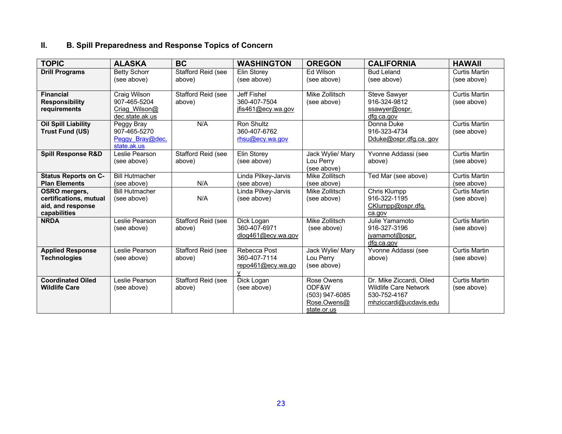# **II. B. Spill Preparedness and Response Topics of Concern**

| <b>TOPIC</b>                  | <b>ALASKA</b>         | <b>BC</b>                 | <b>WASHINGTON</b>   | <b>OREGON</b>            | <b>CALIFORNIA</b>        | <b>HAWAII</b>        |
|-------------------------------|-----------------------|---------------------------|---------------------|--------------------------|--------------------------|----------------------|
| <b>Drill Programs</b>         | <b>Betty Schorr</b>   | <b>Stafford Reid (see</b> | Elin Storey         | Ed Wilson                | <b>Bud Leland</b>        | Curtis Martin        |
|                               | (see above)           | above)                    | (see above)         | (see above)              | (see above)              | (see above)          |
|                               |                       |                           |                     |                          |                          |                      |
| <b>Financial</b>              | Craig Wilson          | Stafford Reid (see        | <b>Jeff Fishel</b>  | Mike Zollitsch           | <b>Steve Sawyer</b>      | Curtis Martin        |
| <b>Responsibility</b>         | 907-465-5204          | above)                    | 360-407-7504        | (see above)              | 916-324-9812             | (see above)          |
| requirements                  | Criag Wilson@         |                           | jfis461@ecy.wa.gov  |                          | ssawyer@ospr.            |                      |
|                               | dec.state.ak.us       |                           |                     |                          | dfg.ca.gov               |                      |
| <b>Oil Spill Liability</b>    | Peggy Bray            | N/A                       | Ron Shultz          |                          | Donna Duke               | <b>Curtis Martin</b> |
| <b>Trust Fund (US)</b>        | 907-465-5270          |                           | 360-407-6762        |                          | 916-323-4734             | (see above)          |
|                               | Peggy Bray@dec.       |                           | rhsu@ecy.wa.gov     |                          | Dduke@ospr.dfg.ca.gov    |                      |
|                               | state.ak.us           |                           |                     |                          |                          |                      |
| <b>Spill Response R&amp;D</b> | Leslie Pearson        | Stafford Reid (see        | Elin Storey         | Jack Wylie/ Mary         | Yvonne Addassi (see      | <b>Curtis Martin</b> |
|                               | (see above)           | above)                    | (see above)         | Lou Perry<br>(see above) | above)                   | (see above)          |
| <b>Status Reports on C-</b>   | <b>Bill Hutmacher</b> |                           | Linda Pilkey-Jarvis | Mike Zollitsch           | Ted Mar (see above)      | <b>Curtis Martin</b> |
| <b>Plan Elements</b>          | (see above)           | N/A                       | (see above)         | (see above)              |                          | (see above)          |
| <b>OSRO</b> mergers,          | <b>Bill Hutmacher</b> |                           | Linda Pilkey-Jarvis | Mike Zollitsch           | Chris Klumpp             | <b>Curtis Martin</b> |
| certifications, mutual        | (see above)           | N/A                       | (see above)         | (see above)              | 916-322-1195             | (see above)          |
| aid, and response             |                       |                           |                     |                          | CKlumpp@ospr.dfg.        |                      |
| capabilities                  |                       |                           |                     |                          | ca.gov                   |                      |
| <b>NRDA</b>                   | Leslie Pearson        | Stafford Reid (see        | Dick Logan          | Mike Zollitsch           | Julie Yamamoto           | <b>Curtis Martin</b> |
|                               | (see above)           | above)                    | 360-407-6971        | (see above)              | 916-327-3196             | (see above)          |
|                               |                       |                           | dlog461@ecy.wa.gov  |                          | jyamamot@ospr.           |                      |
|                               |                       |                           |                     |                          | dfg.ca.gov               |                      |
| <b>Applied Response</b>       | Leslie Pearson        | Stafford Reid (see        | Rebecca Post        | Jack Wylie/ Mary         | Yvonne Addassi (see      | <b>Curtis Martin</b> |
| <b>Technologies</b>           | (see above)           | above)                    | 360-407-7114        | Lou Perry                | above)                   | (see above)          |
|                               |                       |                           | repo461@ecy.wa.go   | (see above)              |                          |                      |
|                               |                       |                           |                     |                          |                          |                      |
| <b>Coordinated Oiled</b>      | Leslie Pearson        | Stafford Reid (see        | Dick Logan          | Rose Owens               | Dr. Mike Ziccardi, Oiled | <b>Curtis Martin</b> |
| <b>Wildlife Care</b>          | (see above)           | above)                    | (see above)         | ODF&W                    | Wildlife Care Network    | (see above)          |
|                               |                       |                           |                     | (503) 947-6085           | 530-752-4167             |                      |
|                               |                       |                           |                     | Rose.Owens@              | mhziccardi@ucdavis.edu   |                      |
|                               |                       |                           |                     | state.or.us              |                          |                      |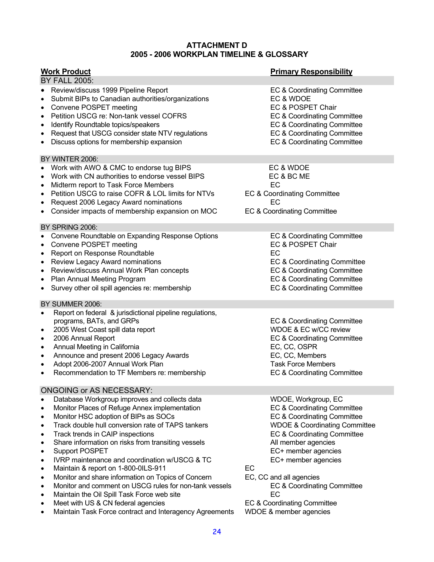## **ATTACHMENT D 2005 - 2006 WORKPLAN TIMELINE & GLOSSARY**

| <u> Work Product</u>                                                                                                                                                                                                                                                                                                                                                                                                                                                                                                                                                                                                                                            | <b>Primary Responsibility</b>                                                                                                                                                                                                                                                                           |
|-----------------------------------------------------------------------------------------------------------------------------------------------------------------------------------------------------------------------------------------------------------------------------------------------------------------------------------------------------------------------------------------------------------------------------------------------------------------------------------------------------------------------------------------------------------------------------------------------------------------------------------------------------------------|---------------------------------------------------------------------------------------------------------------------------------------------------------------------------------------------------------------------------------------------------------------------------------------------------------|
| <b>BY FALL 2005:</b>                                                                                                                                                                                                                                                                                                                                                                                                                                                                                                                                                                                                                                            |                                                                                                                                                                                                                                                                                                         |
| • Review/discuss 1999 Pipeline Report<br>Submit BIPs to Canadian authorities/organizations<br>$\bullet$<br>• Convene POSPET meeting<br>Petition USCG re: Non-tank vessel COFRS<br>$\bullet$<br>Identify Roundtable topics/speakers<br>$\bullet$<br>Request that USCG consider state NTV regulations<br>$\bullet$<br>Discuss options for membership expansion<br>$\bullet$                                                                                                                                                                                                                                                                                       | EC & Coordinating Committee<br>EC & WDOE<br>EC & POSPET Chair<br>EC & Coordinating Committee<br>EC & Coordinating Committee<br>EC & Coordinating Committee<br>EC & Coordinating Committee                                                                                                               |
| BY WINTER 2006:                                                                                                                                                                                                                                                                                                                                                                                                                                                                                                                                                                                                                                                 |                                                                                                                                                                                                                                                                                                         |
| • Work with AWO & CMC to endorse tug BIPS<br>• Work with CN authorities to endorse vessel BIPS<br>Midterm report to Task Force Members<br>$\bullet$<br>Petition USCG to raise COFR & LOL limits for NTVs<br>$\bullet$<br>Request 2006 Legacy Award nominations<br>$\bullet$<br>Consider impacts of membership expansion on MOC<br>$\bullet$                                                                                                                                                                                                                                                                                                                     | EC & WDOE<br>EC & BC ME<br>EC<br><b>EC &amp; Coordinating Committee</b><br>EC<br>EC & Coordinating Committee                                                                                                                                                                                            |
| BY SPRING 2006:                                                                                                                                                                                                                                                                                                                                                                                                                                                                                                                                                                                                                                                 |                                                                                                                                                                                                                                                                                                         |
| • Convene Roundtable on Expanding Response Options<br>• Convene POSPET meeting<br>Report on Response Roundtable<br>$\bullet$<br><b>Review Legacy Award nominations</b><br>$\bullet$<br>Review/discuss Annual Work Plan concepts<br>$\bullet$<br><b>Plan Annual Meeting Program</b><br>$\bullet$<br>• Survey other oil spill agencies re: membership<br>BY SUMMER 2006:                                                                                                                                                                                                                                                                                          | EC & Coordinating Committee<br>EC & POSPET Chair<br>EC<br>EC & Coordinating Committee<br>EC & Coordinating Committee<br>EC & Coordinating Committee<br>EC & Coordinating Committee                                                                                                                      |
| Report on federal & jurisdictional pipeline regulations,<br>$\bullet$                                                                                                                                                                                                                                                                                                                                                                                                                                                                                                                                                                                           |                                                                                                                                                                                                                                                                                                         |
| programs, BATs, and GRPs<br>2005 West Coast spill data report<br>$\bullet$<br>2006 Annual Report<br>$\bullet$<br>Annual Meeting in California<br>$\bullet$<br>Announce and present 2006 Legacy Awards<br>$\bullet$<br>Adopt 2006-2007 Annual Work Plan<br>$\bullet$<br>Recommendation to TF Members re: membership<br>$\bullet$                                                                                                                                                                                                                                                                                                                                 | EC & Coordinating Committee<br>WDOE & EC w/CC review<br>EC & Coordinating Committee<br>EC, CC, OSPR<br>EC, CC, Members<br><b>Task Force Members</b><br>EC & Coordinating Committee                                                                                                                      |
| ONGOING or AS NECESSARY:                                                                                                                                                                                                                                                                                                                                                                                                                                                                                                                                                                                                                                        |                                                                                                                                                                                                                                                                                                         |
| Database Workgroup improves and collects data<br>$\bullet$<br>Monitor Places of Refuge Annex implementation<br>$\bullet$<br>Monitor HSC adoption of BIPs as SOCs<br>$\bullet$<br>Track double hull conversion rate of TAPS tankers<br>$\bullet$<br>Track trends in CAIP inspections<br>Share information on risks from transiting vessels<br><b>Support POSPET</b><br>IVRP maintenance and coordination w/USCG & TC<br>$\bullet$<br>Maintain & report on 1-800-0ILS-911<br>Monitor and share information on Topics of Concern<br>Monitor and comment on USCG rules for non-tank vessels<br>$\bullet$<br>Maintain the Oil Spill Task Force web site<br>$\bullet$ | WDOE, Workgroup, EC<br>EC & Coordinating Committee<br>EC & Coordinating Committee<br><b>WDOE &amp; Coordinating Committee</b><br>EC & Coordinating Committee<br>All member agencies<br>EC+ member agencies<br>EC+ member agencies<br>EC<br>EC, CC and all agencies<br>EC & Coordinating Committee<br>EC |

- Meet with US & CN federal agencies **EC & Coordinating Committee**
- Maintain Task Force contract and Interagency Agreements WDOE & member agencies

24